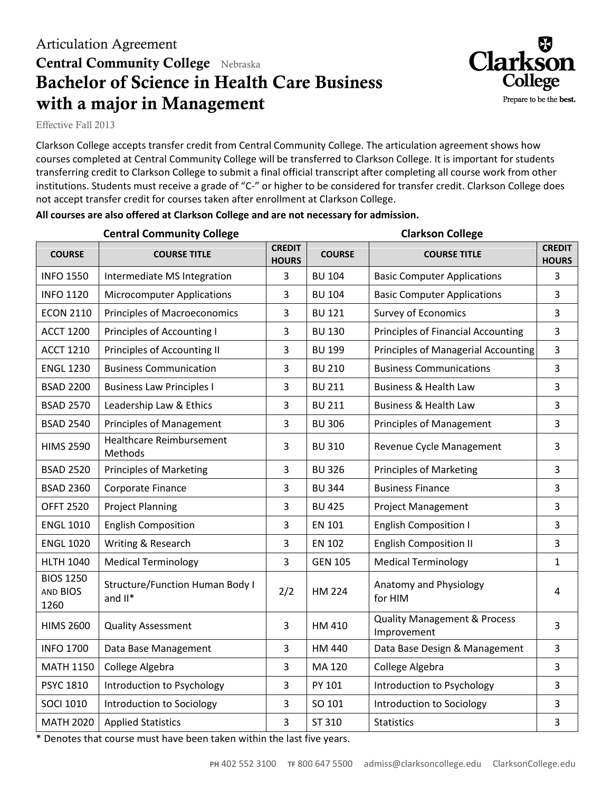## Articulation Agreement **Central Community College** Nebraska **Bachelor of Science in Health Care Business with a major in Management**



Effective Fall 2013

Clarkson College accepts transfer credit from Central Community College. The articulation agreement shows how courses completed at Central Community College will be transferred to Clarkson College. It is important for students transferring credit to Clarkson College to submit a final official transcript after completing all course work from other institutions. Students must receive a grade of "C-" or higher to be considered for transfer credit. Clarkson College does not accept transfer credit for courses taken after enrollment at Clarkson College.

| <b>Central Community College</b>     |                                                      |                               | <b>Clarkson College</b> |                                                        |                               |
|--------------------------------------|------------------------------------------------------|-------------------------------|-------------------------|--------------------------------------------------------|-------------------------------|
| <b>COURSE</b>                        | <b>COURSE TITLE</b>                                  | <b>CREDIT</b><br><b>HOURS</b> | <b>COURSE</b>           | <b>COURSE TITLE</b>                                    | <b>CREDIT</b><br><b>HOURS</b> |
| <b>INFO 1550</b>                     | Intermediate MS Integration                          | 3                             | <b>BU 104</b>           | <b>Basic Computer Applications</b>                     | 3                             |
| <b>INFO 1120</b>                     | <b>Microcomputer Applications</b>                    | 3                             | <b>BU 104</b>           | <b>Basic Computer Applications</b>                     | 3                             |
| <b>ECON 2110</b>                     | <b>Principles of Macroeconomics</b>                  | $\overline{3}$                | <b>BU 121</b>           | <b>Survey of Economics</b>                             | 3                             |
| <b>ACCT 1200</b>                     | Principles of Accounting I                           | $\overline{3}$                | <b>BU 130</b>           | <b>Principles of Financial Accounting</b>              | 3                             |
| <b>ACCT 1210</b>                     | Principles of Accounting II                          | 3                             | <b>BU 199</b>           | <b>Principles of Managerial Accounting</b>             | 3                             |
| <b>ENGL 1230</b>                     | <b>Business Communication</b>                        | 3                             | <b>BU 210</b>           | <b>Business Communications</b>                         | 3                             |
| <b>BSAD 2200</b>                     | <b>Business Law Principles I</b>                     | 3                             | <b>BU 211</b>           | <b>Business &amp; Health Law</b>                       | 3                             |
| <b>BSAD 2570</b>                     | Leadership Law & Ethics                              | 3                             | <b>BU 211</b>           | <b>Business &amp; Health Law</b>                       | 3                             |
| <b>BSAD 2540</b>                     | <b>Principles of Management</b>                      | 3                             | <b>BU 306</b>           | <b>Principles of Management</b>                        | 3                             |
| <b>HIMS 2590</b>                     | <b>Healthcare Reimbursement</b><br>Methods           | 3                             | <b>BU 310</b>           | Revenue Cycle Management                               | 3                             |
| <b>BSAD 2520</b>                     | <b>Principles of Marketing</b>                       | 3                             | <b>BU 326</b>           | <b>Principles of Marketing</b>                         | 3                             |
| <b>BSAD 2360</b>                     | Corporate Finance                                    | 3                             | <b>BU 344</b>           | <b>Business Finance</b>                                | 3                             |
| <b>OFFT 2520</b>                     | <b>Project Planning</b>                              | 3                             | <b>BU 425</b>           | <b>Project Management</b>                              | 3                             |
| <b>ENGL 1010</b>                     | <b>English Composition</b>                           | $\overline{3}$                | <b>EN 101</b>           | <b>English Composition I</b>                           | 3                             |
| <b>ENGL 1020</b>                     | Writing & Research                                   | $\overline{3}$                | <b>EN 102</b>           | <b>English Composition II</b>                          | 3                             |
| <b>HLTH 1040</b>                     | <b>Medical Terminology</b>                           | $\overline{3}$                | <b>GEN 105</b>          | <b>Medical Terminology</b>                             | $\mathbf{1}$                  |
| <b>BIOS 1250</b><br>AND BIOS<br>1260 | <b>Structure/Function Human Body I</b><br>and $II^*$ | 2/2                           | <b>HM 224</b>           | Anatomy and Physiology<br>for HIM                      | 4                             |
| <b>HIMS 2600</b>                     | <b>Quality Assessment</b>                            | 3                             | HM 410                  | <b>Quality Management &amp; Process</b><br>Improvement | 3                             |
| <b>INFO 1700</b>                     | Data Base Management                                 | 3                             | HM 440                  | Data Base Design & Management                          | $\overline{3}$                |
| <b>MATH 1150</b>                     | College Algebra                                      | 3                             | MA 120                  | College Algebra                                        | 3                             |
| <b>PSYC 1810</b>                     | Introduction to Psychology                           | 3                             | PY 101                  | Introduction to Psychology                             | 3                             |
| <b>SOCI 1010</b>                     | Introduction to Sociology                            | 3                             | SO 101                  | Introduction to Sociology                              | 3                             |
| <b>MATH 2020</b>                     | <b>Applied Statistics</b>                            | 3                             | ST 310                  | <b>Statistics</b>                                      | 3                             |
|                                      |                                                      |                               |                         |                                                        |                               |

## **All courses are also offered at Clarkson College and are not necessary for admission.**

\* Denotes that course must have been taken within the last five years.